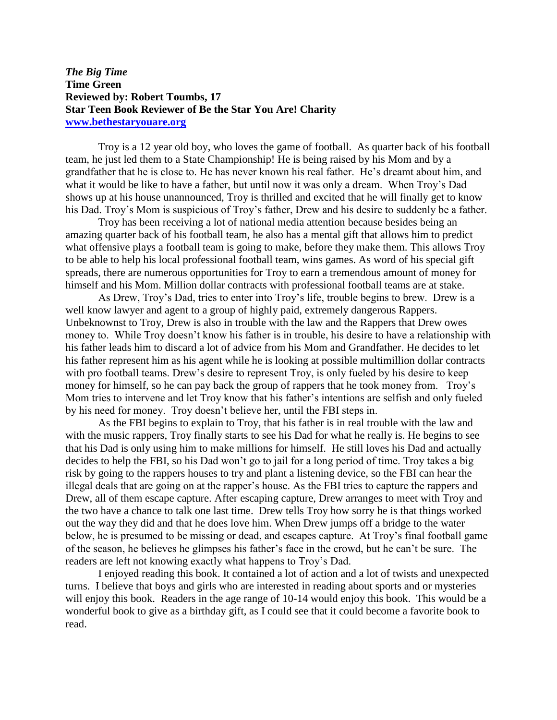## *The Big Time* **Time Green Reviewed by: Robert Toumbs, 17 Star Teen Book Reviewer of Be the Star You Are! Charity [www.bethestaryouare.org](http://www.bethestaryouare.org/)**

Troy is a 12 year old boy, who loves the game of football. As quarter back of his football team, he just led them to a State Championship! He is being raised by his Mom and by a grandfather that he is close to. He has never known his real father. He's dreamt about him, and what it would be like to have a father, but until now it was only a dream. When Troy's Dad shows up at his house unannounced, Troy is thrilled and excited that he will finally get to know his Dad. Troy's Mom is suspicious of Troy's father, Drew and his desire to suddenly be a father.

Troy has been receiving a lot of national media attention because besides being an amazing quarter back of his football team, he also has a mental gift that allows him to predict what offensive plays a football team is going to make, before they make them. This allows Troy to be able to help his local professional football team, wins games. As word of his special gift spreads, there are numerous opportunities for Troy to earn a tremendous amount of money for himself and his Mom. Million dollar contracts with professional football teams are at stake.

As Drew, Troy's Dad, tries to enter into Troy's life, trouble begins to brew. Drew is a well know lawyer and agent to a group of highly paid, extremely dangerous Rappers. Unbeknownst to Troy, Drew is also in trouble with the law and the Rappers that Drew owes money to. While Troy doesn't know his father is in trouble, his desire to have a relationship with his father leads him to discard a lot of advice from his Mom and Grandfather. He decides to let his father represent him as his agent while he is looking at possible multimillion dollar contracts with pro football teams. Drew's desire to represent Troy, is only fueled by his desire to keep money for himself, so he can pay back the group of rappers that he took money from. Troy's Mom tries to intervene and let Troy know that his father's intentions are selfish and only fueled by his need for money. Troy doesn't believe her, until the FBI steps in.

As the FBI begins to explain to Troy, that his father is in real trouble with the law and with the music rappers, Troy finally starts to see his Dad for what he really is. He begins to see that his Dad is only using him to make millions for himself. He still loves his Dad and actually decides to help the FBI, so his Dad won't go to jail for a long period of time. Troy takes a big risk by going to the rappers houses to try and plant a listening device, so the FBI can hear the illegal deals that are going on at the rapper's house. As the FBI tries to capture the rappers and Drew, all of them escape capture. After escaping capture, Drew arranges to meet with Troy and the two have a chance to talk one last time. Drew tells Troy how sorry he is that things worked out the way they did and that he does love him. When Drew jumps off a bridge to the water below, he is presumed to be missing or dead, and escapes capture. At Troy's final football game of the season, he believes he glimpses his father's face in the crowd, but he can't be sure. The readers are left not knowing exactly what happens to Troy's Dad.

I enjoyed reading this book. It contained a lot of action and a lot of twists and unexpected turns. I believe that boys and girls who are interested in reading about sports and or mysteries will enjoy this book. Readers in the age range of 10-14 would enjoy this book. This would be a wonderful book to give as a birthday gift, as I could see that it could become a favorite book to read.